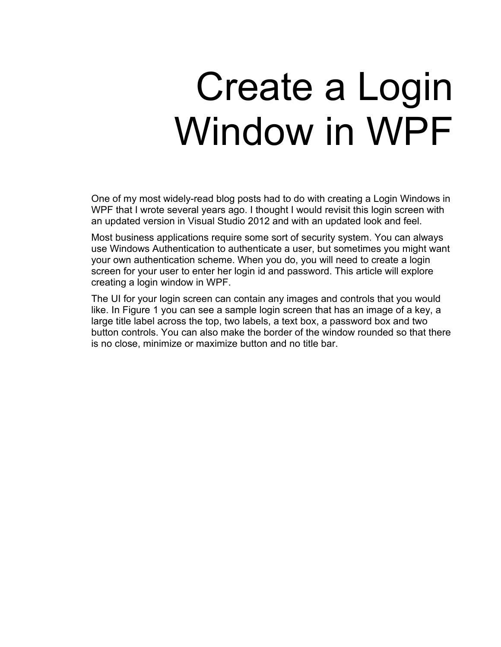# Create a Login Window in WPF

One of my most widely-read blog posts had to do with creating a Login Windows in WPF that I wrote several years ago. I thought I would revisit this login screen with an updated version in Visual Studio 2012 and with an updated look and feel.

Most business applications require some sort of security system. You can always use Windows Authentication to authenticate a user, but sometimes you might want your own authentication scheme. When you do, you will need to create a login screen for your user to enter her login id and password. This article will explore creating a login window in WPF.

The UI for your login screen can contain any images and controls that you would like. In Figure 1 you can see a sample login screen that has an image of a key, a large title label across the top, two labels, a text box, a password box and two button controls. You can also make the border of the window rounded so that there is no close, minimize or maximize button and no title bar.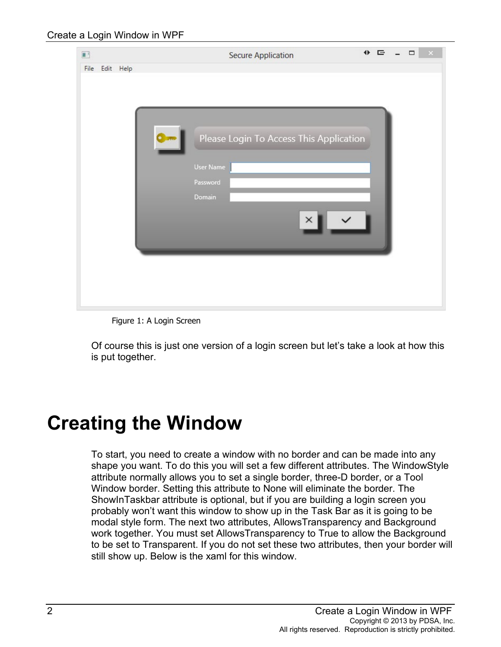| $\blacksquare$    | <b>Secure Application</b>               | $+$ $-$<br>$\Box$ |
|-------------------|-----------------------------------------|-------------------|
| File<br>Edit Help |                                         |                   |
|                   |                                         |                   |
|                   |                                         |                   |
|                   |                                         |                   |
|                   | Please Login To Access This Application |                   |
|                   |                                         |                   |
|                   | User Name                               |                   |
|                   | Password                                |                   |
|                   | Domain                                  |                   |
|                   |                                         |                   |
|                   |                                         |                   |
|                   |                                         |                   |
|                   |                                         |                   |
|                   |                                         |                   |
|                   |                                         |                   |
|                   |                                         |                   |

Figure 1: A Login Screen

Of course this is just one version of a login screen but let's take a look at how this is put together.

# **Creating the Window**

To start, you need to create a window with no border and can be made into any shape you want. To do this you will set a few different attributes. The WindowStyle attribute normally allows you to set a single border, three-D border, or a Tool Window border. Setting this attribute to None will eliminate the border. The ShowInTaskbar attribute is optional, but if you are building a login screen you probably won't want this window to show up in the Task Bar as it is going to be modal style form. The next two attributes, AllowsTransparency and Background work together. You must set AllowsTransparency to True to allow the Background to be set to Transparent. If you do not set these two attributes, then your border will still show up. Below is the xaml for this window.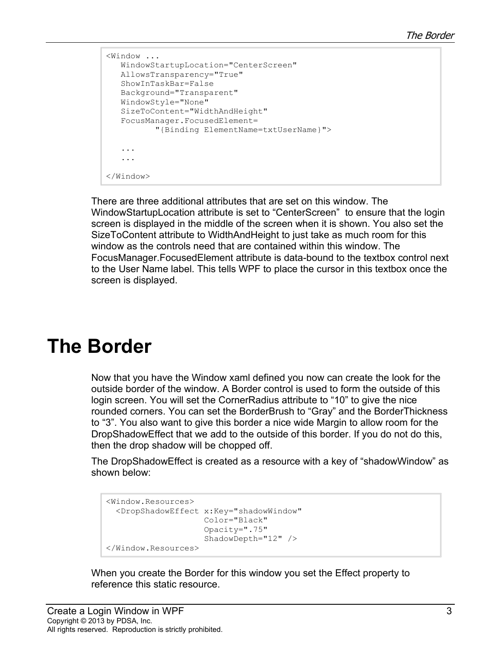```
<Window ...
    WindowStartupLocation="CenterScreen"
   AllowsTransparency="True"
   ShowInTaskBar=False
   Background="Transparent"
   WindowStyle="None"
    SizeToContent="WidthAndHeight"
    FocusManager.FocusedElement=
           "{Binding ElementName=txtUserName}">
    ...
    ...
</Window>
```
There are three additional attributes that are set on this window. The WindowStartupLocation attribute is set to "CenterScreen" to ensure that the login screen is displayed in the middle of the screen when it is shown. You also set the SizeToContent attribute to WidthAndHeight to just take as much room for this window as the controls need that are contained within this window. The FocusManager.FocusedElement attribute is data-bound to the textbox control next to the User Name label. This tells WPF to place the cursor in this textbox once the screen is displayed.

#### **The Border**

Now that you have the Window xaml defined you now can create the look for the outside border of the window. A Border control is used to form the outside of this login screen. You will set the CornerRadius attribute to "10" to give the nice rounded corners. You can set the BorderBrush to "Gray" and the BorderThickness to "3". You also want to give this border a nice wide Margin to allow room for the DropShadowEffect that we add to the outside of this border. If you do not do this, then the drop shadow will be chopped off.

The DropShadowEffect is created as a resource with a key of "shadowWindow" as shown below:

```
<Window.Resources>
  <DropShadowEffect x:Key="shadowWindow"
                     Color="Black"
                    Opacity=".75"
                    ShadowDepth="12" />
</Window.Resources>
```
When you create the Border for this window you set the Effect property to reference this static resource.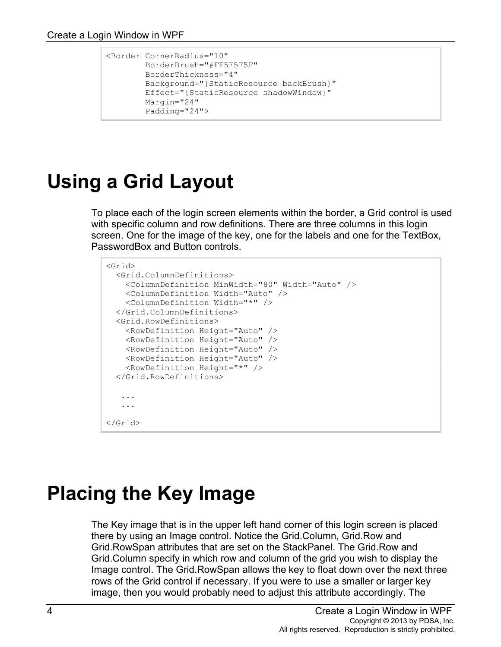```
<Border CornerRadius="10"
         BorderBrush="#FF5F5F5F"
         BorderThickness="4"
         Background="{StaticResource backBrush}"
         Effect="{StaticResource shadowWindow}"
         Margin="24"
         Padding="24">
```
# **Using a Grid Layout**

To place each of the login screen elements within the border, a Grid control is used with specific column and row definitions. There are three columns in this login screen. One for the image of the key, one for the labels and one for the TextBox, PasswordBox and Button controls.

```
<Grid>
  <Grid.ColumnDefinitions>
    <ColumnDefinition MinWidth="80" Width="Auto" />
    <ColumnDefinition Width="Auto" />
    <ColumnDefinition Width="*" />
  </Grid.ColumnDefinitions>
  <Grid.RowDefinitions>
    <RowDefinition Height="Auto" />
    <RowDefinition Height="Auto" />
    <RowDefinition Height="Auto" />
    <RowDefinition Height="Auto" />
     <RowDefinition Height="*" />
  </Grid.RowDefinitions>
    ...
    ...
</Grid>
```
#### **Placing the Key Image**

The Key image that is in the upper left hand corner of this login screen is placed there by using an Image control. Notice the Grid.Column, Grid.Row and Grid.RowSpan attributes that are set on the StackPanel. The Grid.Row and Grid.Column specify in which row and column of the grid you wish to display the Image control. The Grid.RowSpan allows the key to float down over the next three rows of the Grid control if necessary. If you were to use a smaller or larger key image, then you would probably need to adjust this attribute accordingly. The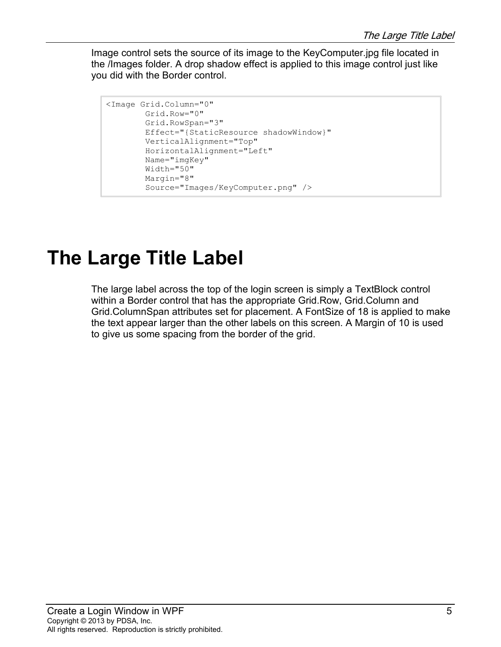Image control sets the source of its image to the KeyComputer.jpg file located in the /Images folder. A drop shadow effect is applied to this image control just like you did with the Border control.

```
<Image Grid.Column="0"
         Grid.Row="0"
         Grid.RowSpan="3"
         Effect="{StaticResource shadowWindow}"
         VerticalAlignment="Top"
         HorizontalAlignment="Left"
         Name="imgKey"
         Width="50"
         Margin="8"
         Source="Images/KeyComputer.png" />
```
#### **The Large Title Label**

The large label across the top of the login screen is simply a TextBlock control within a Border control that has the appropriate Grid.Row, Grid.Column and Grid.ColumnSpan attributes set for placement. A FontSize of 18 is applied to make the text appear larger than the other labels on this screen. A Margin of 10 is used to give us some spacing from the border of the grid.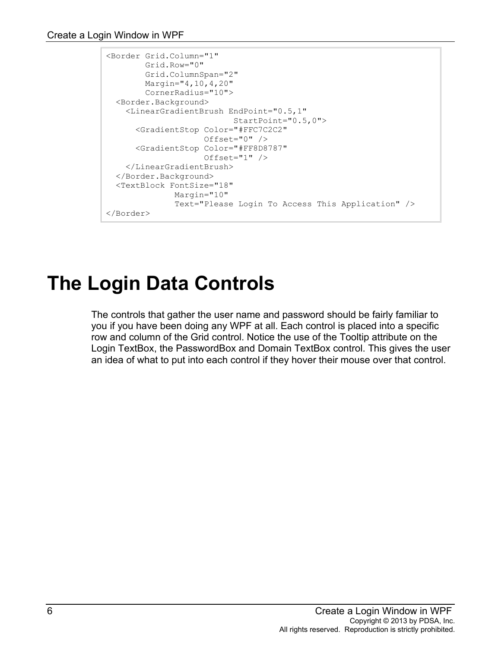```
<Border Grid.Column="1"
         Grid.Row="0"
         Grid.ColumnSpan="2"
         Margin="4,10,4,20"
         CornerRadius="10">
  <Border.Background>
     <LinearGradientBrush EndPoint="0.5,1"
                            StartPoint="0.5,0">
       <GradientStop Color="#FFC7C2C2"
                     Offset="0" />
       <GradientStop Color="#FF8D8787"
                     Offset="1" />
    </LinearGradientBrush>
   </Border.Background>
   <TextBlock FontSize="18"
               Margin="10"
               Text="Please Login To Access This Application" />
</Border>
```
# **The Login Data Controls**

The controls that gather the user name and password should be fairly familiar to you if you have been doing any WPF at all. Each control is placed into a specific row and column of the Grid control. Notice the use of the Tooltip attribute on the Login TextBox, the PasswordBox and Domain TextBox control. This gives the user an idea of what to put into each control if they hover their mouse over that control.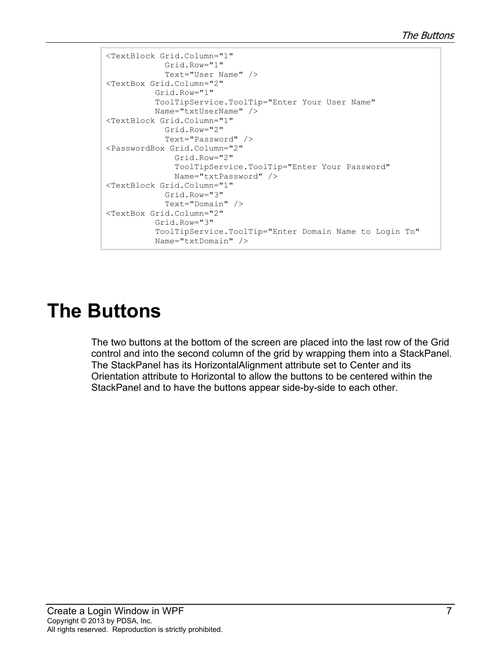```
<TextBlock Grid.Column="1"
             Grid.Row="1"
             Text="User Name" />
<TextBox Grid.Column="2"
           Grid.Row="1"
           ToolTipService.ToolTip="Enter Your User Name"
           Name="txtUserName" />
<TextBlock Grid.Column="1"
             Grid.Row="2"
             Text="Password" />
<PasswordBox Grid.Column="2"
               Grid.Row="2"
               ToolTipService.ToolTip="Enter Your Password"
               Name="txtPassword" />
<TextBlock Grid.Column="1"
             Grid.Row="3"
             Text="Domain" />
<TextBox Grid.Column="2"
           Grid.Row="3"
           ToolTipService.ToolTip="Enter Domain Name to Login To"
           Name="txtDomain" />
```
# **The Buttons**

The two buttons at the bottom of the screen are placed into the last row of the Grid control and into the second column of the grid by wrapping them into a StackPanel. The StackPanel has its HorizontalAlignment attribute set to Center and its Orientation attribute to Horizontal to allow the buttons to be centered within the StackPanel and to have the buttons appear side-by-side to each other.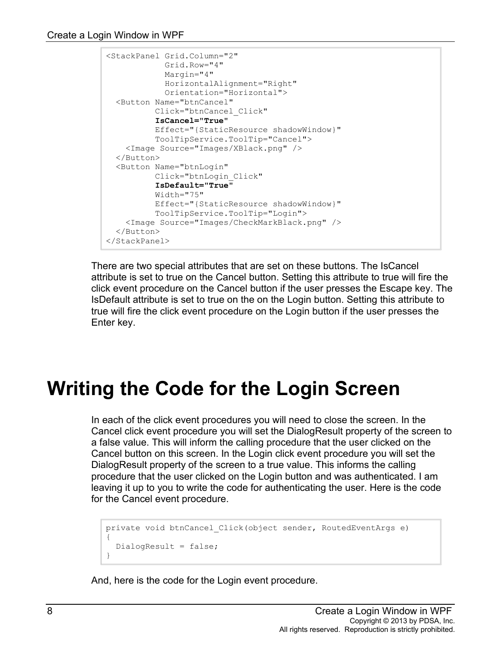```
<StackPanel Grid.Column="2"
             Grid.Row="4"
            Margin="4"
            HorizontalAlignment="Right"
            Orientation="Horizontal">
  <Button Name="btnCancel"
          Click="btnCancel_Click"
           IsCancel="True"
          Effect="{StaticResource shadowWindow}"
          ToolTipService.ToolTip="Cancel">
    <Image Source="Images/XBlack.png" />
  </Button>
  <Button Name="btnLogin"
          Click="btnLogin_Click"
          IsDefault="True"
          Width="75"
          Effect="{StaticResource shadowWindow}"
          ToolTipService.ToolTip="Login">
    <Image Source="Images/CheckMarkBlack.png" />
  </Button>
</StackPanel>
```
There are two special attributes that are set on these buttons. The IsCancel attribute is set to true on the Cancel button. Setting this attribute to true will fire the click event procedure on the Cancel button if the user presses the Escape key. The IsDefault attribute is set to true on the on the Login button. Setting this attribute to true will fire the click event procedure on the Login button if the user presses the Enter key.

#### **Writing the Code for the Login Screen**

In each of the click event procedures you will need to close the screen. In the Cancel click event procedure you will set the DialogResult property of the screen to a false value. This will inform the calling procedure that the user clicked on the Cancel button on this screen. In the Login click event procedure you will set the DialogResult property of the screen to a true value. This informs the calling procedure that the user clicked on the Login button and was authenticated. I am leaving it up to you to write the code for authenticating the user. Here is the code for the Cancel event procedure.

```
private void btnCancel_Click(object sender, RoutedEventArgs e)
{
   DialogResult = false;
}
```
And, here is the code for the Login event procedure.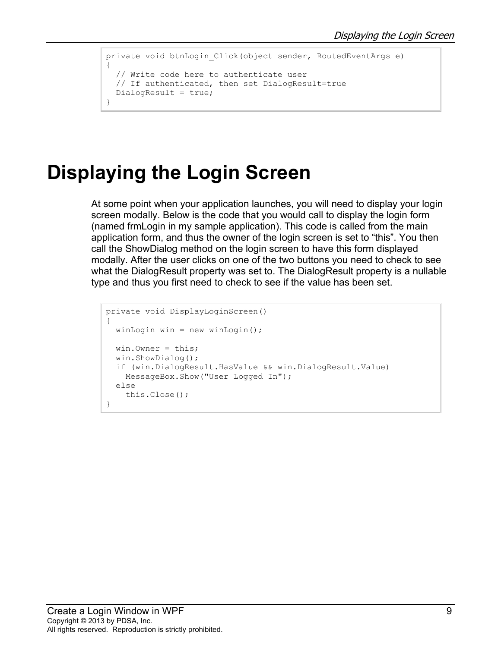```
private void btnLogin_Click(object sender, RoutedEventArgs e)
{
   // Write code here to authenticate user
   // If authenticated, then set DialogResult=true
   DialogResult = true;
}
```
# **Displaying the Login Screen**

At some point when your application launches, you will need to display your login screen modally. Below is the code that you would call to display the login form (named frmLogin in my sample application). This code is called from the main application form, and thus the owner of the login screen is set to "this". You then call the ShowDialog method on the login screen to have this form displayed modally. After the user clicks on one of the two buttons you need to check to see what the DialogResult property was set to. The DialogResult property is a nullable type and thus you first need to check to see if the value has been set.

```
private void DisplayLoginScreen()
{
  winLogin win = new winLogin();
  win. Owner = this;
   win.ShowDialog();
   if (win.DialogResult.HasValue && win.DialogResult.Value)
     MessageBox.Show("User Logged In");
   else
     this.Close();
}
```